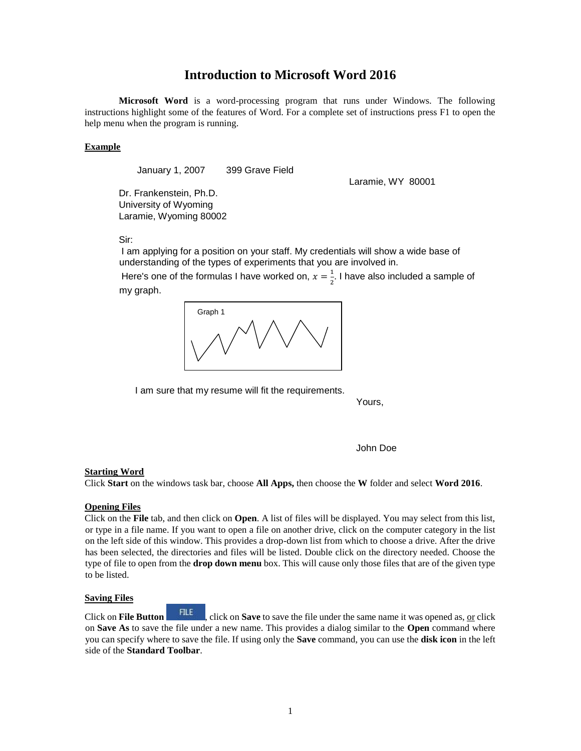# **Introduction to Microsoft Word 2016**

**Microsoft Word** is a word-processing program that runs under Windows. The following instructions highlight some of the features of Word. For a complete set of instructions press F1 to open the help menu when the program is running.

# **Example**

January 1, 2007 399 Grave Field

Dr. Frankenstein, Ph.D. University of Wyoming Laramie, Wyoming 80002 Laramie, WY 80001

Sir:

I am applying for a position on your staff. My credentials will show a wide base of understanding of the types of experiments that you are involved in.

Here's one of the formulas I have worked on,  $x=\frac{1}{3}$  $\frac{1}{2}$ . I have also included a sample of my graph.



I am sure that my resume will fit the requirements.

Yours,

John Doe

#### **Starting Word**

Click **Start** on the windows task bar, choose **All Apps,** then choose the **W** folder and select **Word 2016**.

# **Opening Files**

Click on the **File** tab, and then click on **Open**. A list of files will be displayed. You may select from this list, or type in a file name. If you want to open a file on another drive, click on the computer category in the list on the left side of this window. This provides a drop-down list from which to choose a drive. After the drive has been selected, the directories and files will be listed. Double click on the directory needed. Choose the type of file to open from the **drop down menu** box. This will cause only those files that are of the given type to be listed.

#### **Saving Files**

Click on **File Button** , click on **Save** to save the file under the same name it was opened as, or click on **Save As** to save the file under a new name. This provides a dialog similar to the **Open** command where you can specify where to save the file. If using only the **Save** command, you can use the **disk icon** in the left side of the **Standard Toolbar**.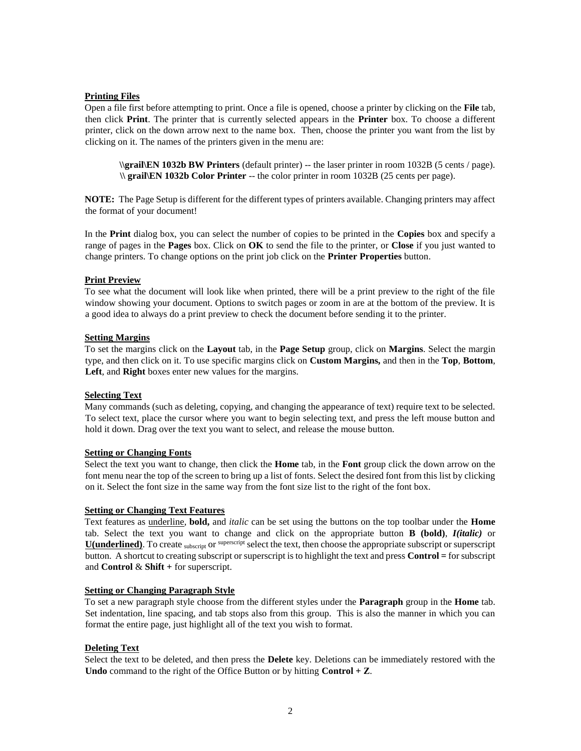# **Printing Files**

Open a file first before attempting to print. Once a file is opened, choose a printer by clicking on the **File** tab, then click **Print**. The printer that is currently selected appears in the **Printer** box. To choose a different printer, click on the down arrow next to the name box. Then, choose the printer you want from the list by clicking on it. The names of the printers given in the menu are:

**\\grail\EN 1032b BW Printers** (default printer) -- the laser printer in room 1032B (5 cents / page). **\\ grail\EN 1032b Color Printer** -- the color printer in room 1032B (25 cents per page).

**NOTE:** The Page Setup is different for the different types of printers available. Changing printers may affect the format of your document!

In the **Print** dialog box, you can select the number of copies to be printed in the **Copies** box and specify a range of pages in the **Pages** box. Click on **OK** to send the file to the printer, or **Close** if you just wanted to change printers. To change options on the print job click on the **Printer Properties** button.

# **Print Preview**

To see what the document will look like when printed, there will be a print preview to the right of the file window showing your document. Options to switch pages or zoom in are at the bottom of the preview. It is a good idea to always do a print preview to check the document before sending it to the printer.

#### **Setting Margins**

To set the margins click on the **Layout** tab, in the **Page Setup** group, click on **Margins**. Select the margin type, and then click on it. To use specific margins click on **Custom Margins,** and then in the **Top**, **Bottom**, **Left**, and **Right** boxes enter new values for the margins.

# **Selecting Text**

Many commands (such as deleting, copying, and changing the appearance of text) require text to be selected. To select text, place the cursor where you want to begin selecting text, and press the left mouse button and hold it down. Drag over the text you want to select, and release the mouse button.

#### **Setting or Changing Fonts**

Select the text you want to change, then click the **Home** tab, in the **Font** group click the down arrow on the font menu near the top of the screen to bring up a list of fonts. Select the desired font from this list by clicking on it. Select the font size in the same way from the font size list to the right of the font box.

#### **Setting or Changing Text Features**

Text features as underline, **bold,** and *italic* can be set using the buttons on the top toolbar under the **Home** tab. Select the text you want to change and click on the appropriate button **B (bold)**, *I(italic)* or **U(underlined)**. To create subscript or superscript select the text, then choose the appropriate subscript or superscript button. A shortcut to creating subscript or superscript is to highlight the text and press **Control =** for subscript and **Control** & **Shift +** for superscript.

#### **Setting or Changing Paragraph Style**

To set a new paragraph style choose from the different styles under the **Paragraph** group in the **Home** tab. Set indentation, line spacing, and tab stops also from this group. This is also the manner in which you can format the entire page, just highlight all of the text you wish to format.

# **Deleting Text**

Select the text to be deleted, and then press the **Delete** key. Deletions can be immediately restored with the **Undo** command to the right of the Office Button or by hitting **Control + Z**.